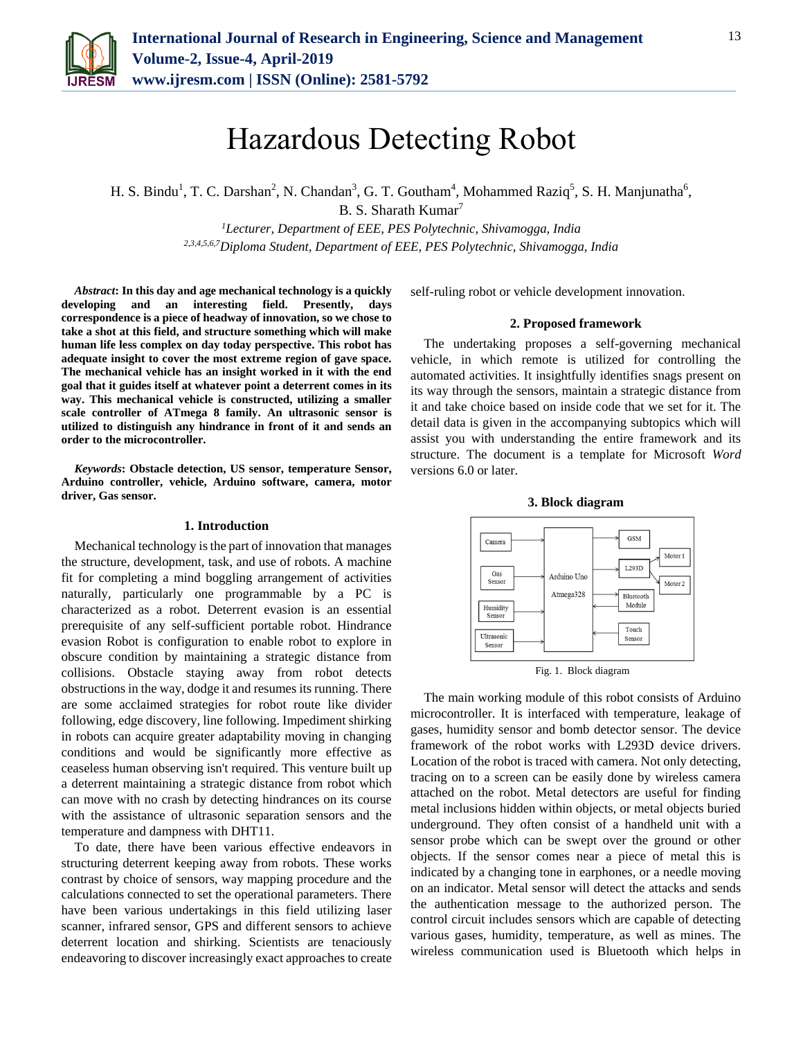

H. S. Bindu<sup>1</sup>, T. C. Darshan<sup>2</sup>, N. Chandan<sup>3</sup>, G. T. Goutham<sup>4</sup>, Mohammed Raziq<sup>5</sup>, S. H. Manjunatha<sup>6</sup>, B. S. Sharath Kumar<sup>7</sup>

> *<sup>1</sup>Lecturer, Department of EEE, PES Polytechnic, Shivamogga, India 2,3,4,5,6,7Diploma Student, Department of EEE, PES Polytechnic, Shivamogga, India*

*Abstract***: In this day and age mechanical technology is a quickly developing and an interesting field. Presently, days correspondence is a piece of headway of innovation, so we chose to take a shot at this field, and structure something which will make human life less complex on day today perspective. This robot has adequate insight to cover the most extreme region of gave space. The mechanical vehicle has an insight worked in it with the end goal that it guides itself at whatever point a deterrent comes in its way. This mechanical vehicle is constructed, utilizing a smaller scale controller of ATmega 8 family. An ultrasonic sensor is utilized to distinguish any hindrance in front of it and sends an order to the microcontroller.** 

*Keywords***: Obstacle detection, US sensor, temperature Sensor, Arduino controller, vehicle, Arduino software, camera, motor driver, Gas sensor.**

#### **1. Introduction**

Mechanical technology is the part of innovation that manages the structure, development, task, and use of robots. A machine fit for completing a mind boggling arrangement of activities naturally, particularly one programmable by a PC is characterized as a robot. Deterrent evasion is an essential prerequisite of any self-sufficient portable robot. Hindrance evasion Robot is configuration to enable robot to explore in obscure condition by maintaining a strategic distance from collisions. Obstacle staying away from robot detects obstructions in the way, dodge it and resumes its running. There are some acclaimed strategies for robot route like divider following, edge discovery, line following. Impediment shirking in robots can acquire greater adaptability moving in changing conditions and would be significantly more effective as ceaseless human observing isn't required. This venture built up a deterrent maintaining a strategic distance from robot which can move with no crash by detecting hindrances on its course with the assistance of ultrasonic separation sensors and the temperature and dampness with DHT11.

To date, there have been various effective endeavors in structuring deterrent keeping away from robots. These works contrast by choice of sensors, way mapping procedure and the calculations connected to set the operational parameters. There have been various undertakings in this field utilizing laser scanner, infrared sensor, GPS and different sensors to achieve deterrent location and shirking. Scientists are tenaciously endeavoring to discover increasingly exact approaches to create self-ruling robot or vehicle development innovation.

#### **2. Proposed framework**

The undertaking proposes a self-governing mechanical vehicle, in which remote is utilized for controlling the automated activities. It insightfully identifies snags present on its way through the sensors, maintain a strategic distance from it and take choice based on inside code that we set for it. The detail data is given in the accompanying subtopics which will assist you with understanding the entire framework and its structure. The document is a template for Microsoft *Word* versions 6.0 or later.

**3. Block diagram**



Fig. 1. Block diagram

The main working module of this robot consists of Arduino microcontroller. It is interfaced with temperature, leakage of gases, humidity sensor and bomb detector sensor. The device framework of the robot works with L293D device drivers. Location of the robot is traced with camera. Not only detecting, tracing on to a screen can be easily done by wireless camera attached on the robot. Metal detectors are useful for finding metal inclusions hidden within objects, or metal objects buried underground. They often consist of a handheld unit with a sensor probe which can be swept over the ground or other objects. If the sensor comes near a piece of metal this is indicated by a changing tone in earphones, or a needle moving on an indicator. Metal sensor will detect the attacks and sends the authentication message to the authorized person. The control circuit includes sensors which are capable of detecting various gases, humidity, temperature, as well as mines. The wireless communication used is Bluetooth which helps in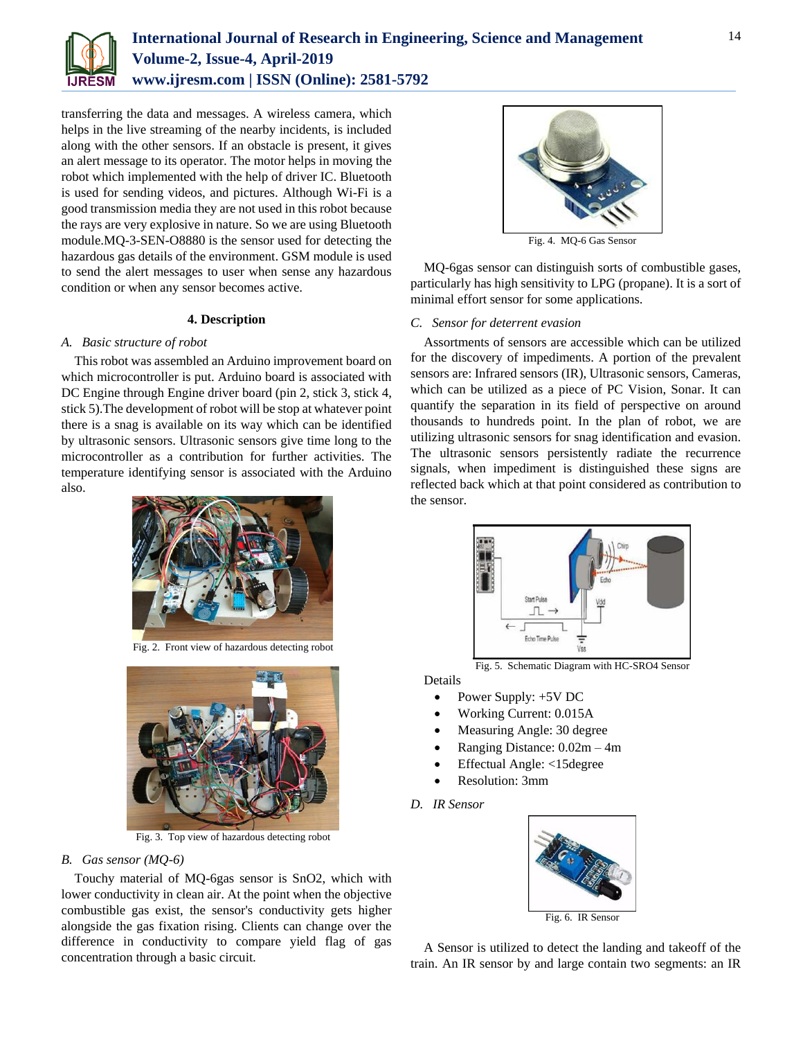

transferring the data and messages. A wireless camera, which helps in the live streaming of the nearby incidents, is included along with the other sensors. If an obstacle is present, it gives an alert message to its operator. The motor helps in moving the robot which implemented with the help of driver IC. Bluetooth is used for sending videos, and pictures. Although Wi-Fi is a good transmission media they are not used in this robot because the rays are very explosive in nature. So we are using Bluetooth module.MQ-3-SEN-O8880 is the sensor used for detecting the hazardous gas details of the environment. GSM module is used to send the alert messages to user when sense any hazardous condition or when any sensor becomes active.

#### **4. Description**

## *A. Basic structure of robot*

This robot was assembled an Arduino improvement board on which microcontroller is put. Arduino board is associated with DC Engine through Engine driver board (pin 2, stick 3, stick 4, stick 5).The development of robot will be stop at whatever point there is a snag is available on its way which can be identified by ultrasonic sensors. Ultrasonic sensors give time long to the microcontroller as a contribution for further activities. The temperature identifying sensor is associated with the Arduino also.



Fig. 2. Front view of hazardous detecting robot



Fig. 3. Top view of hazardous detecting robot

## *B. Gas sensor (MQ-6)*

Touchy material of MQ-6gas sensor is SnO2, which with lower conductivity in clean air. At the point when the objective combustible gas exist, the sensor's conductivity gets higher alongside the gas fixation rising. Clients can change over the difference in conductivity to compare yield flag of gas concentration through a basic circuit.



Fig. 4. MQ-6 Gas Sensor

MQ-6gas sensor can distinguish sorts of combustible gases, particularly has high sensitivity to LPG (propane). It is a sort of minimal effort sensor for some applications.

## *C. Sensor for deterrent evasion*

Assortments of sensors are accessible which can be utilized for the discovery of impediments. A portion of the prevalent sensors are: Infrared sensors (IR), Ultrasonic sensors, Cameras, which can be utilized as a piece of PC Vision, Sonar. It can quantify the separation in its field of perspective on around thousands to hundreds point. In the plan of robot, we are utilizing ultrasonic sensors for snag identification and evasion. The ultrasonic sensors persistently radiate the recurrence signals, when impediment is distinguished these signs are reflected back which at that point considered as contribution to the sensor.



Fig. 5. Schematic Diagram with HC-SRO4 Sensor

Details

- Power Supply: +5V DC
- Working Current: 0.015A
- Measuring Angle: 30 degree
- Ranging Distance: 0.02m 4m
- Effectual Angle: <15degree
- Resolution: 3mm
- *D. IR Sensor*



A Sensor is utilized to detect the landing and takeoff of the train. An IR sensor by and large contain two segments: an IR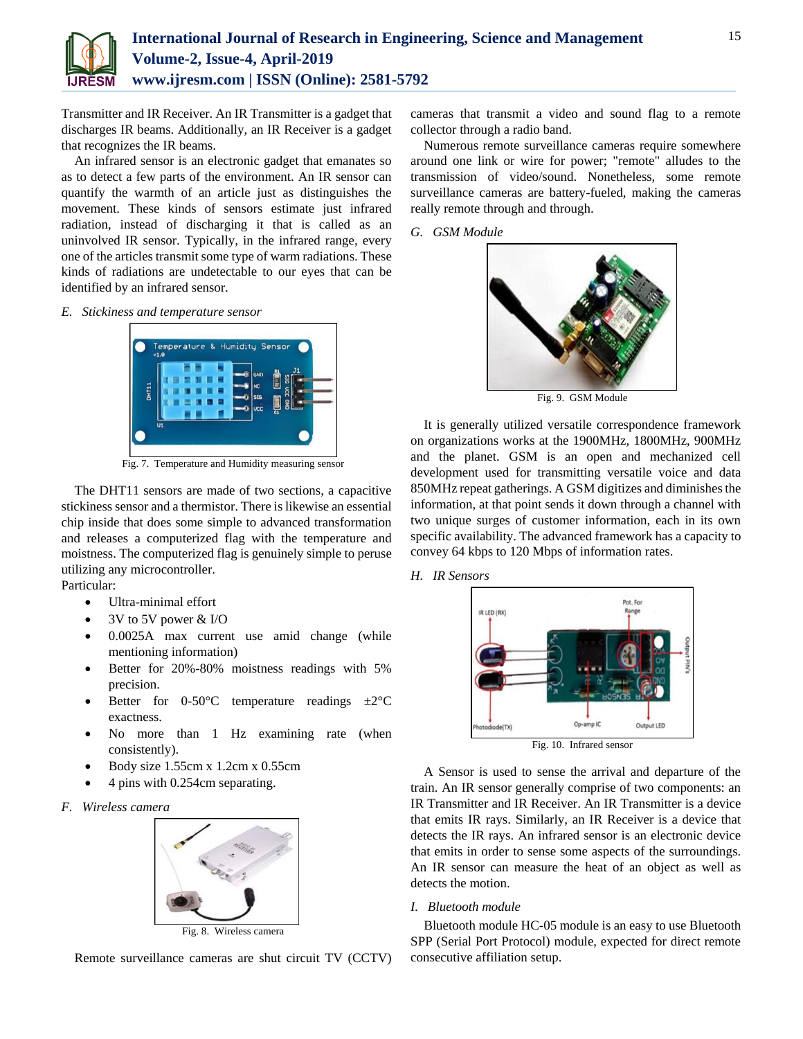

Transmitter and IR Receiver. An IR Transmitter is a gadget that discharges IR beams. Additionally, an IR Receiver is a gadget that recognizes the IR beams.

An infrared sensor is an electronic gadget that emanates so as to detect a few parts of the environment. An IR sensor can quantify the warmth of an article just as distinguishes the movement. These kinds of sensors estimate just infrared radiation, instead of discharging it that is called as an uninvolved IR sensor. Typically, in the infrared range, every one of the articles transmit some type of warm radiations. These kinds of radiations are undetectable to our eyes that can be identified by an infrared sensor.

*E. Stickiness and temperature sensor*



Fig. 7. Temperature and Humidity measuring sensor

The DHT11 sensors are made of two sections, a capacitive stickiness sensor and a thermistor. There is likewise an essential chip inside that does some simple to advanced transformation and releases a computerized flag with the temperature and moistness. The computerized flag is genuinely simple to peruse utilizing any microcontroller. Particular:

- Ultra-minimal effort
- 3V to 5V power & I/O
- 0.0025A max current use amid change (while mentioning information)
- Better for 20%-80% moistness readings with 5% precision.
- Better for 0-50 $\degree$ C temperature readings  $\pm 2\degree$ C exactness.
- No more than 1 Hz examining rate (when consistently).
- Body size 1.55cm x 1.2cm x 0.55cm
- 4 pins with 0.254cm separating.
- *F. Wireless camera*



Fig. 8. Wireless camera

Remote surveillance cameras are shut circuit TV (CCTV)

cameras that transmit a video and sound flag to a remote collector through a radio band.

Numerous remote surveillance cameras require somewhere around one link or wire for power; "remote" alludes to the transmission of video/sound. Nonetheless, some remote surveillance cameras are battery-fueled, making the cameras really remote through and through.

*G. GSM Module*



Fig. 9. GSM Module

It is generally utilized versatile correspondence framework on organizations works at the 1900MHz, 1800MHz, 900MHz and the planet. GSM is an open and mechanized cell development used for transmitting versatile voice and data 850MHz repeat gatherings. A GSM digitizes and diminishes the information, at that point sends it down through a channel with two unique surges of customer information, each in its own specific availability. The advanced framework has a capacity to convey 64 kbps to 120 Mbps of information rates.





A Sensor is used to sense the arrival and departure of the train. An IR sensor generally comprise of two components: an IR Transmitter and IR Receiver. An IR Transmitter is a device that emits IR rays. Similarly, an IR Receiver is a device that detects the IR rays. An infrared sensor is an electronic device that emits in order to sense some aspects of the surroundings. An IR sensor can measure the heat of an object as well as detects the motion.

#### *I. Bluetooth module*

Bluetooth module HC-05 module is an easy to use Bluetooth SPP (Serial Port Protocol) module, expected for direct remote consecutive affiliation setup.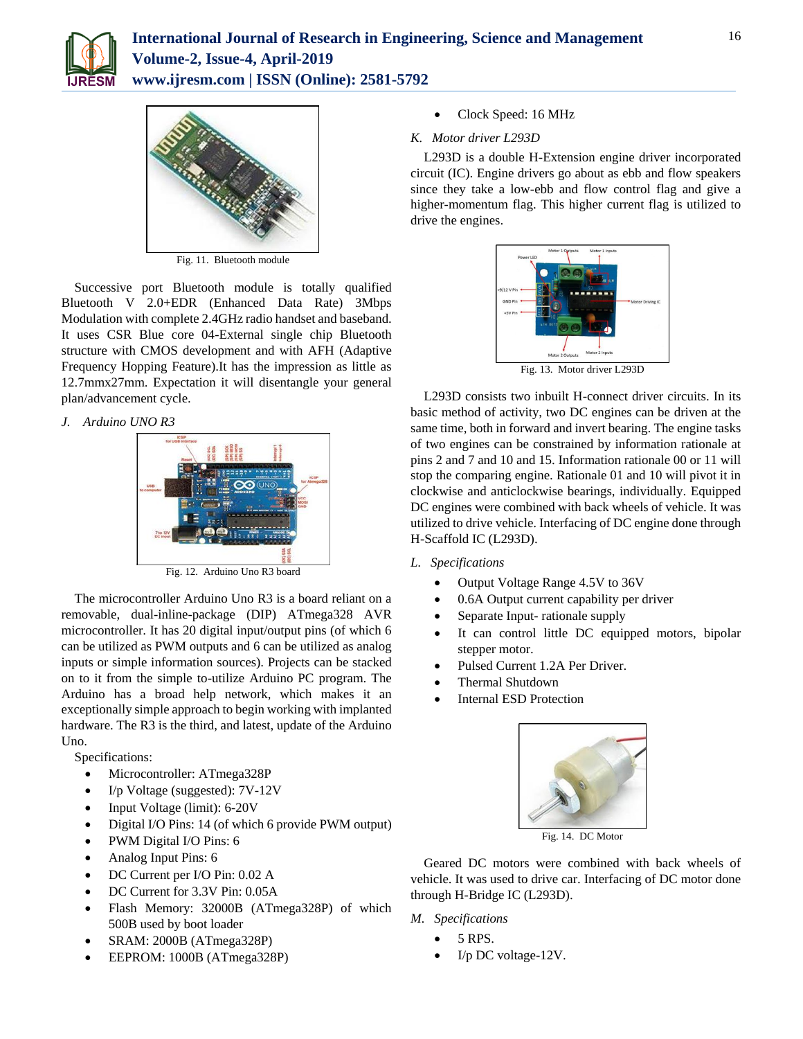



Fig. 11. Bluetooth module

Successive port Bluetooth module is totally qualified Bluetooth V 2.0+EDR (Enhanced Data Rate) 3Mbps Modulation with complete 2.4GHz radio handset and baseband. It uses CSR Blue core 04-External single chip Bluetooth structure with CMOS development and with AFH (Adaptive Frequency Hopping Feature).It has the impression as little as 12.7mmx27mm. Expectation it will disentangle your general plan/advancement cycle.

*J. Arduino UNO R3*



Fig. 12. Arduino Uno R3 board

The microcontroller Arduino Uno R3 is a board reliant on a removable, dual-inline-package (DIP) ATmega328 AVR microcontroller. It has 20 digital input/output pins (of which 6 can be utilized as PWM outputs and 6 can be utilized as analog inputs or simple information sources). Projects can be stacked on to it from the simple to-utilize Arduino PC program. The Arduino has a broad help network, which makes it an exceptionally simple approach to begin working with implanted hardware. The R3 is the third, and latest, update of the Arduino Uno.

Specifications:

- Microcontroller: ATmega328P
- I/p Voltage (suggested): 7V-12V
- Input Voltage (limit): 6-20V
- Digital I/O Pins: 14 (of which 6 provide PWM output)
- PWM Digital I/O Pins: 6
- Analog Input Pins: 6
- DC Current per I/O Pin: 0.02 A
- DC Current for 3.3V Pin: 0.05A
- Flash Memory: 32000B (ATmega328P) of which 500B used by boot loader
- SRAM: 2000B (ATmega328P)
- EEPROM: 1000B (ATmega328P)

Clock Speed: 16 MHz

# *K. Motor driver L293D*

L293D is a double H-Extension engine driver incorporated circuit (IC). Engine drivers go about as ebb and flow speakers since they take a low-ebb and flow control flag and give a higher-momentum flag. This higher current flag is utilized to drive the engines.



L293D consists two inbuilt H-connect driver circuits. In its basic method of activity, two DC engines can be driven at the same time, both in forward and invert bearing. The engine tasks of two engines can be constrained by information rationale at pins 2 and 7 and 10 and 15. Information rationale 00 or 11 will stop the comparing engine. Rationale 01 and 10 will pivot it in clockwise and anticlockwise bearings, individually. Equipped DC engines were combined with back wheels of vehicle. It was utilized to drive vehicle. Interfacing of DC engine done through H-Scaffold IC (L293D).

- *L. Specifications*
	- Output Voltage Range 4.5V to 36V
	- 0.6A Output current capability per driver
	- Separate Input- rationale supply
	- It can control little DC equipped motors, bipolar stepper motor.
	- Pulsed Current 1.2A Per Driver.
	- Thermal Shutdown
	- Internal ESD Protection



Fig. 14. DC Motor

Geared DC motors were combined with back wheels of vehicle. It was used to drive car. Interfacing of DC motor done through H-Bridge IC (L293D).

*M. Specifications*

- 5 RPS.
- I/p DC voltage-12V.